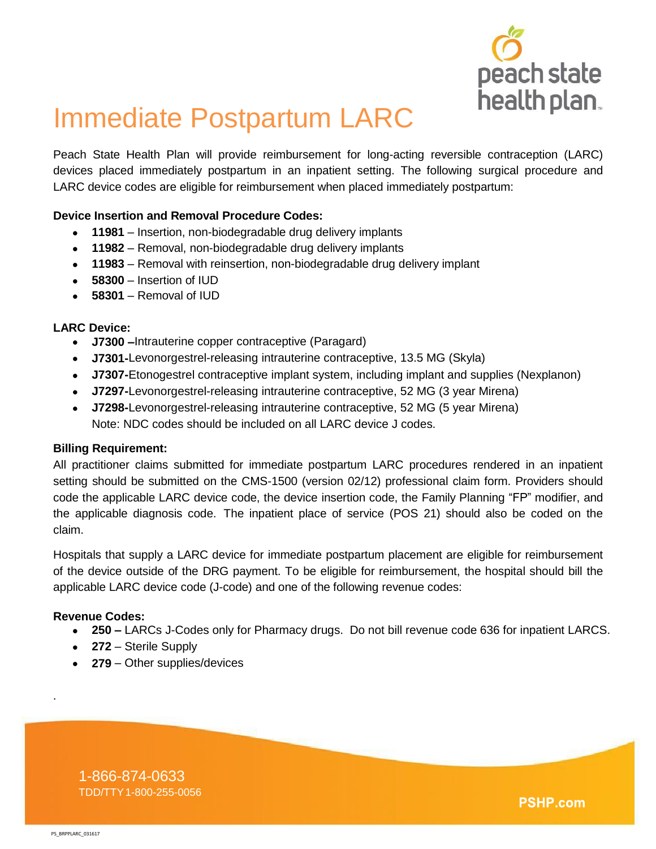

# Immediate Postpartum LARC

Peach State Health Plan will provide reimbursement for long-acting reversible contraception (LARC) devices placed immediately postpartum in an inpatient setting. The following surgical procedure and LARC device codes are eligible for reimbursement when placed immediately postpartum:

### **Device Insertion and Removal Procedure Codes:**

- **11981** Insertion, non-biodegradable drug delivery implants
- **11982** Removal, non-biodegradable drug delivery implants
- **11983** Removal with reinsertion, non-biodegradable drug delivery implant
- **58300** Insertion of IUD
- **58301** Removal of IUD

#### **LARC Device:**

- **J7300 –**Intrauterine copper contraceptive (Paragard)
- **J7301-**Levonorgestrel-releasing intrauterine contraceptive, 13.5 MG (Skyla)
- **J7307-**Etonogestrel contraceptive implant system, including implant and supplies (Nexplanon)
- **J7297-**Levonorgestrel-releasing intrauterine contraceptive, 52 MG (3 year Mirena)
- **J7298-**Levonorgestrel-releasing intrauterine contraceptive, 52 MG (5 year Mirena) Note: NDC codes should be included on all LARC device J codes.

#### **Billing Requirement:**

All practitioner claims submitted for immediate postpartum LARC procedures rendered in an inpatient setting should be submitted on the CMS-1500 (version 02/12) professional claim form. Providers should code the applicable LARC device code, the device insertion code, the Family Planning "FP" modifier, and the applicable diagnosis code. The inpatient place of service (POS 21) should also be coded on the claim.

Hospitals that supply a LARC device for immediate postpartum placement are eligible for reimbursement of the device outside of the DRG payment. To be eligible for reimbursement, the hospital should bill the applicable LARC device code (J-code) and one of the following revenue codes:

#### **Revenue Codes:**

- **250 –** LARCs J-Codes only for Pharmacy drugs. Do not bill revenue code 636 for inpatient LARCS.
- **272** Sterile Supply
- **279** Other supplies/devices

1-866-874-0633 1-866-874-0633 TDD/TTY1-800-255-0056 TDD/TTY1-800-255-0056

**PSHP.com** 

.